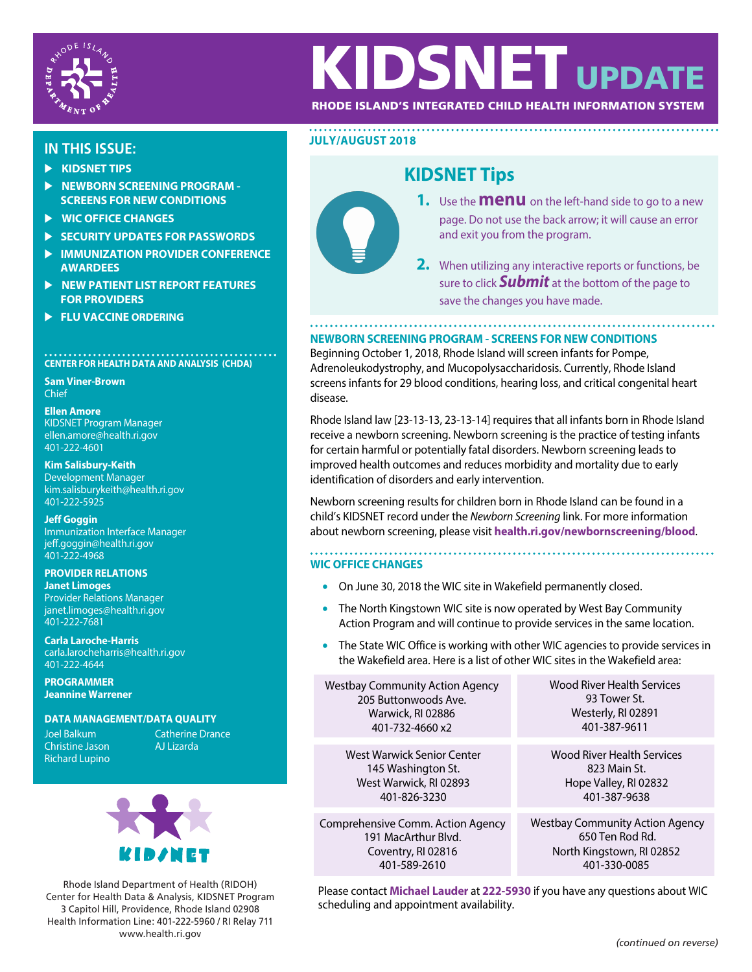

# KIDSNET UPDA

## RHODE ISLAND'S INTEGRATED CHILD HEALTH INFORMATION SYSTEM

- **EXIDSNET TIPS**
- **EXEMPLE ASSESSED NEWBORN SCREENING PROGRAM -SCREENS FOR NEW CONDITIONS**
- **WIC OFFICE CHANGES**
- **EXECURITY UPDATES FOR PASSWORDS**
- **EXEMPTION PROVIDER CONFERENCE AWARDEES**
- **NEW PATIENT LIST REPORT FEATURES FOR PROVIDERS**
- **FLU VACCINE ORDERING**

## **CENTER FOR HEALTH DATA AND ANALYSIS (CHDA)**

**Sam Viner-Brown** Chief

**Ellen Amore** KIDSNET Program Manager ellen.amore@health.ri.gov 401-222-4601

**Kim Salisbury-Keith** Development Manager kim.salisburykeith@health.ri.gov 401-222-5925

**Jeff Goggin** Immunization Interface Manager jeff.goggin@health.ri.gov 401-222-4968

**PROVIDER RELATIONS Janet Limoges** Provider Relations Manager janet.limoges@health.ri.gov 401-222-7681

**Carla Laroche-Harris** carla.larocheharris@health.ri.gov 401-222-4644

**PROGRAMMER Jeannine Warrener**

#### **DATA MANAGEMENT/DATA QUALITY**

**Joel Balkum Christine Jason** Richard Lupino Catherine Drance<br>All izarda



Rhode Island Department of Health (RIDOH) Center for Health Data & Analysis, KIDSNET Program 3 Capitol Hill, Providence, Rhode Island 02908 Health Information Line: 401-222-5960 / RI Relay 711 www.health.ri.gov *(continued on reverse)*

## **JULY/AUGUST <sup>2018</sup> IN THIS ISSUE:**

## **KIDSNET Tips**



- **1.** Use the **menu** on the left-hand side to go to a new page. Do not use the back arrow; it will cause an error and exit you from the program.
- **2.** When utilizing any interactive reports or functions, be sure to click **Submit** at the bottom of the page to save the changes you have made.

### **NEWBORN SCREENING PROGRAM - SCREENS FOR NEW CONDITIONS**

Beginning October 1, 2018, Rhode Island will screen infants for Pompe, Adrenoleukodystrophy, and Mucopolysaccharidosis. Currently, Rhode Island screens infants for 29 blood conditions, hearing loss, and critical congenital heart disease.

Rhode Island law [23-13-13, 23-13-14] requires that all infants born in Rhode Island receive a newborn screening. Newborn screening is the practice of testing infants for certain harmful or potentially fatal disorders. Newborn screening leads to improved health outcomes and reduces morbidity and mortality due to early identification of disorders and early intervention.

Newborn screening results for children born in Rhode Island can be found in a child's KIDSNET record under the Newborn Screening link. For more information about newborn screening, please visit **health.ri.gov/newbornscreening/blood**.

..................................

#### **WIC OFFICE CHANGES**

- On June 30, 2018 the WIC site in Wakefield permanently closed.
- The North Kingstown WIC site is now operated by West Bay Community Action Program and will continue to provide services in the same location.
- The State WIC Office is working with other WIC agencies to provide services in the Wakefield area. Here is a list of other WIC sites in the Wakefield area:

| <b>Westbay Community Action Agency</b> | <b>Wood River Health Services</b>      |  |  |  |
|----------------------------------------|----------------------------------------|--|--|--|
| 205 Buttonwoods Ave.                   | 93 Tower St.                           |  |  |  |
| Warwick, RI 02886                      | Westerly, RI 02891                     |  |  |  |
| 401-732-4660 x2                        | 401-387-9611                           |  |  |  |
| West Warwick Senior Center             | Wood River Health Services             |  |  |  |
| 145 Washington St.                     | 823 Main St.                           |  |  |  |
| West Warwick, RI 02893                 | Hope Valley, RI 02832                  |  |  |  |
| 401-826-3230                           | 401-387-9638                           |  |  |  |
| Comprehensive Comm. Action Agency      | <b>Westbay Community Action Agency</b> |  |  |  |
| 191 MacArthur Blyd.                    | 650 Ten Rod Rd.                        |  |  |  |
| Coventry, RI 02816                     | North Kingstown, RI 02852              |  |  |  |
| 401-589-2610                           | 401-330-0085                           |  |  |  |

Please contact **Michael Lauder** at **222-5930** if you have any questions about WIC scheduling and appointment availability.